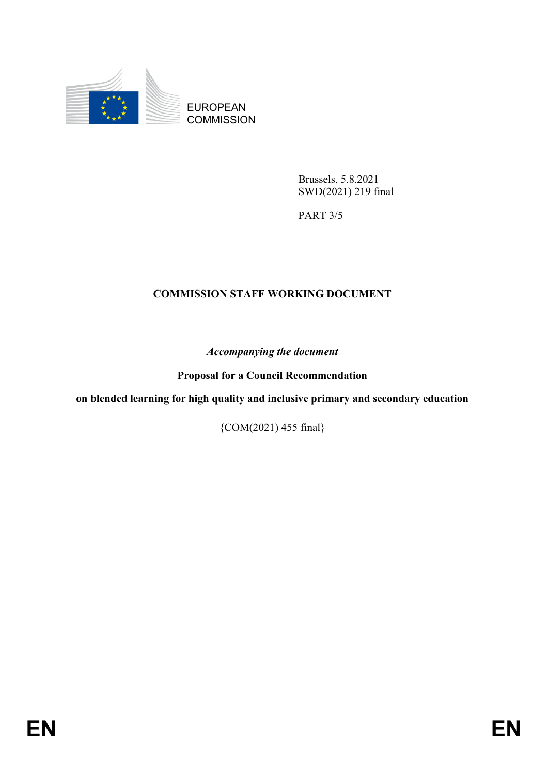

EUROPEAN **COMMISSION** 

> Brussels, 5.8.2021 SWD(2021) 219 final

PART 3/5

#### **COMMISSION STAFF WORKING DOCUMENT**

*Accompanying the document*

**Proposal for a Council Recommendation**

**on blended learning for high quality and inclusive primary and secondary education**

{COM(2021) 455 final}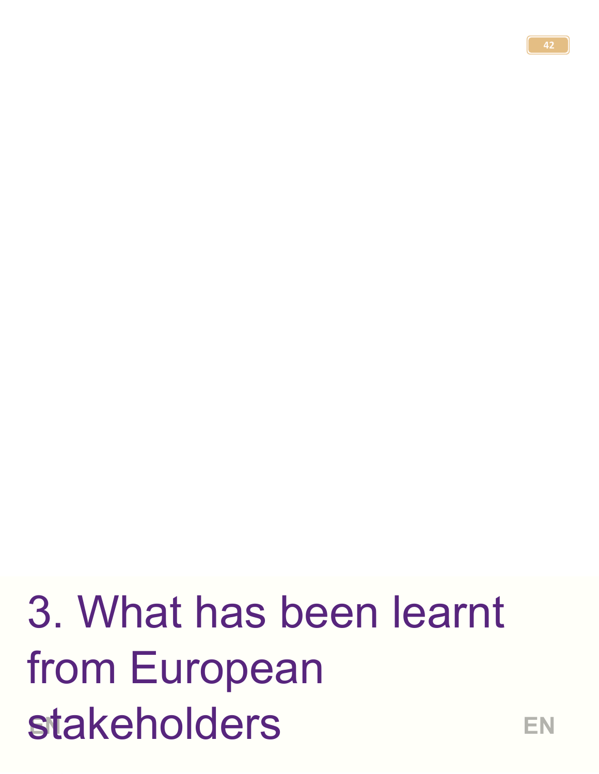# **Stakeholders** EN 3. What has been learnt from European stakeholders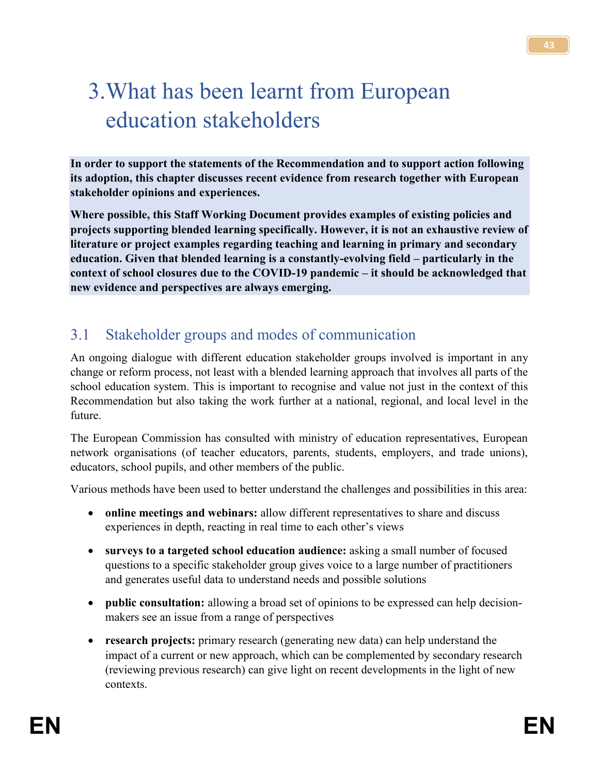# 3.What has been learnt from European education stakeholders

**In order to support the statements of the Recommendation and to support action following its adoption, this chapter discusses recent evidence from research together with European stakeholder opinions and experiences.**

**Where possible, this Staff Working Document provides examples of existing policies and projects supporting blended learning specifically. However, it is not an exhaustive review of literature or project examples regarding teaching and learning in primary and secondary education. Given that blended learning is a constantly-evolving field – particularly in the context of school closures due to the COVID-19 pandemic – it should be acknowledged that new evidence and perspectives are always emerging.**

### 3.1 Stakeholder groups and modes of communication

An ongoing dialogue with different education stakeholder groups involved is important in any change or reform process, not least with a blended learning approach that involves all parts of the school education system. This is important to recognise and value not just in the context of this Recommendation but also taking the work further at a national, regional, and local level in the future.

The European Commission has consulted with ministry of education representatives, European network organisations (of teacher educators, parents, students, employers, and trade unions), educators, school pupils, and other members of the public.

Various methods have been used to better understand the challenges and possibilities in this area:

- **online meetings and webinars:** allow different representatives to share and discuss experiences in depth, reacting in real time to each other's views
- **surveys to a targeted school education audience:** asking a small number of focused questions to a specific stakeholder group gives voice to a large number of practitioners and generates useful data to understand needs and possible solutions
- **public consultation:** allowing a broad set of opinions to be expressed can help decisionmakers see an issue from a range of perspectives
- **research projects:** primary research (generating new data) can help understand the impact of a current or new approach, which can be complemented by secondary research (reviewing previous research) can give light on recent developments in the light of new contexts.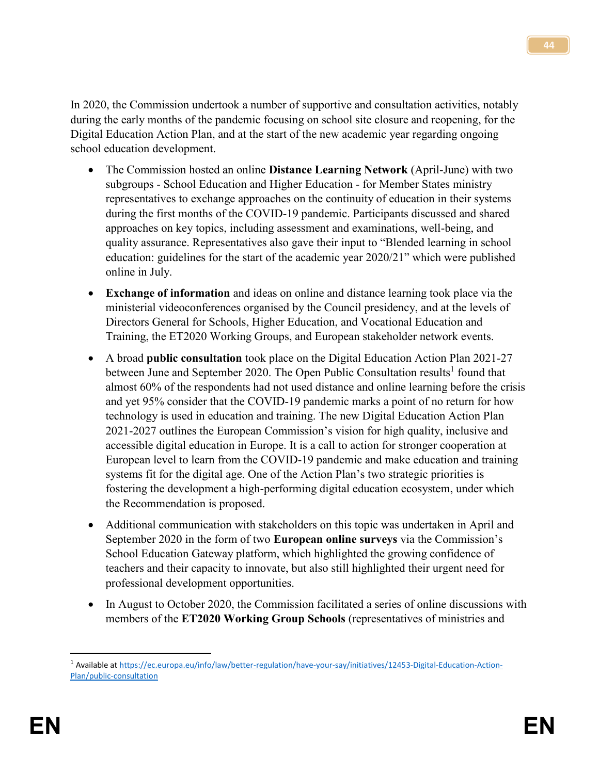In 2020, the Commission undertook a number of supportive and consultation activities, notably during the early months of the pandemic focusing on school site closure and reopening, for the Digital Education Action Plan, and at the start of the new academic year regarding ongoing school education development.

- The Commission hosted an online **Distance Learning Network** (April-June) with two subgroups - School Education and Higher Education - for Member States ministry representatives to exchange approaches on the continuity of education in their systems during the first months of the COVID-19 pandemic. Participants discussed and shared approaches on key topics, including assessment and examinations, well-being, and quality assurance. Representatives also gave their input to "Blended learning in school education: guidelines for the start of the academic year 2020/21" which were published online in July.
- **Exchange of information** and ideas on online and distance learning took place via the ministerial videoconferences organised by the Council presidency, and at the levels of Directors General for Schools, Higher Education, and Vocational Education and Training, the ET2020 Working Groups, and European stakeholder network events.
- A broad **public consultation** took place on the Digital Education Action Plan 2021-27 between June and September 2020. The Open Public Consultation results<sup>1</sup> found that almost 60% of the respondents had not used distance and online learning before the crisis and yet 95% consider that the COVID-19 pandemic marks a point of no return for how technology is used in education and training. The new Digital Education Action Plan 2021-2027 outlines the European Commission's vision for high quality, inclusive and accessible digital education in Europe. It is a call to action for stronger cooperation at European level to learn from the COVID-19 pandemic and make education and training systems fit for the digital age. One of the Action Plan's two strategic priorities is fostering the development a high-performing digital education ecosystem, under which the Recommendation is proposed.
- Additional communication with stakeholders on this topic was undertaken in April and September 2020 in the form of two **European online surveys** via the Commission's School Education Gateway platform, which highlighted the growing confidence of teachers and their capacity to innovate, but also still highlighted their urgent need for professional development opportunities.
- In August to October 2020, the Commission facilitated a series of online discussions with members of the **ET2020 Working Group Schools** (representatives of ministries and

<sup>1</sup> Available a[t https://ec.europa.eu/info/law/better-regulation/have-your-say/initiatives/12453-Digital-Education-Action-](https://ec.europa.eu/info/law/better-regulation/have-your-say/initiatives/12453-Digital-Education-Action-Plan/public-consultation)[Plan/public-consultation](https://ec.europa.eu/info/law/better-regulation/have-your-say/initiatives/12453-Digital-Education-Action-Plan/public-consultation)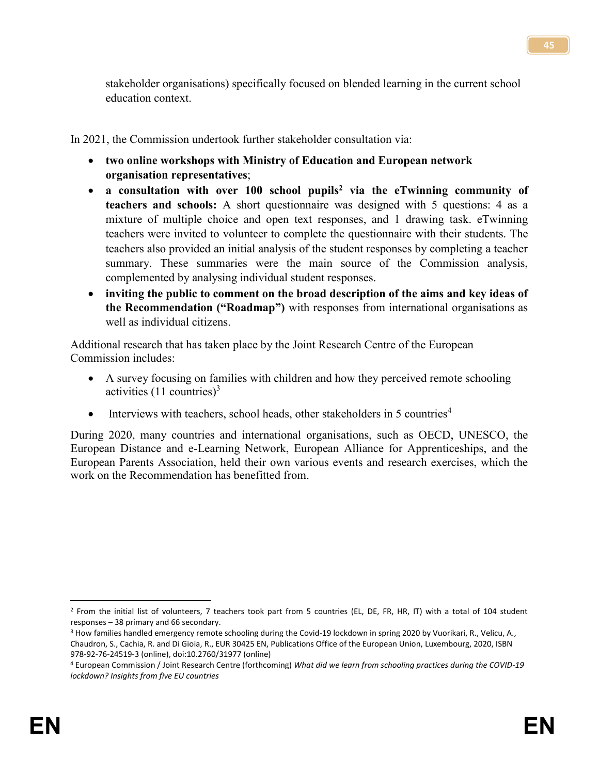stakeholder organisations) specifically focused on blended learning in the current school education context.

In 2021, the Commission undertook further stakeholder consultation via:

- **two online workshops with Ministry of Education and European network organisation representatives**;
- **a consultation with over 100 school pupils<sup>2</sup> via the eTwinning community of teachers and schools:** A short questionnaire was designed with 5 questions: 4 as a mixture of multiple choice and open text responses, and 1 drawing task. eTwinning teachers were invited to volunteer to complete the questionnaire with their students. The teachers also provided an initial analysis of the student responses by completing a teacher summary. These summaries were the main source of the Commission analysis, complemented by analysing individual student responses.
- **inviting the public to comment on the broad description of the aims and key ideas of the Recommendation ("Roadmap")** with responses from international organisations as well as individual citizens.

Additional research that has taken place by the Joint Research Centre of the European Commission includes:

- A survey focusing on families with children and how they perceived remote schooling activities  $(11$  countries)<sup>3</sup>
- Interviews with teachers, school heads, other stakeholders in 5 countries<sup>4</sup>

During 2020, many countries and international organisations, such as OECD, UNESCO, the European Distance and e-Learning Network, European Alliance for Apprenticeships, and the European Parents Association, held their own various events and research exercises, which the work on the Recommendation has benefitted from.

 $\overline{\phantom{a}}$ <sup>2</sup> From the initial list of volunteers, 7 teachers took part from 5 countries (EL, DE, FR, HR, IT) with a total of 104 student responses – 38 primary and 66 secondary.

<sup>&</sup>lt;sup>3</sup> How families handled emergency remote schooling during the Covid-19 lockdown in spring 2020 by Vuorikari, R., Velicu, A., Chaudron, S., Cachia, R. and Di Gioia, R., EUR 30425 EN, Publications Office of the European Union, Luxembourg, 2020, ISBN 978-92-76-24519-3 (online), doi:10.2760/31977 (online)

<sup>4</sup> European Commission / Joint Research Centre (forthcoming) *What did we learn from schooling practices during the COVID-19 lockdown? Insights from five EU countries*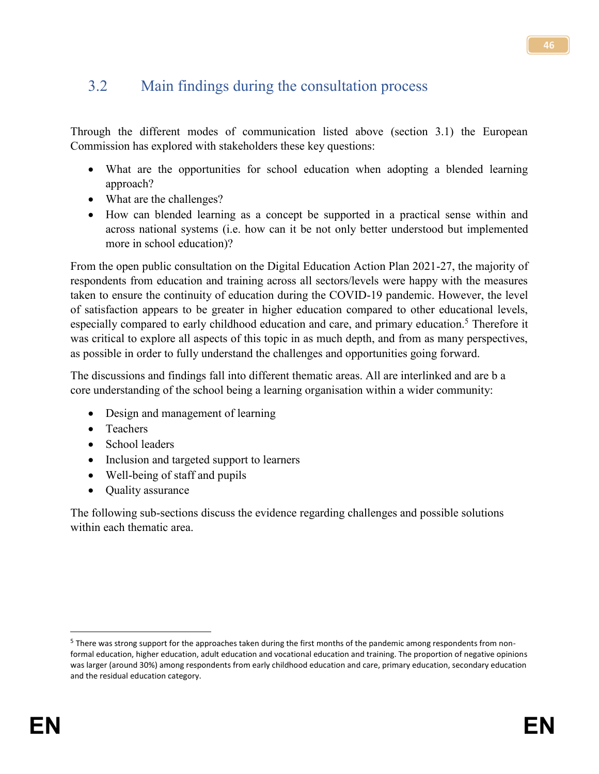## 3.2 Main findings during the consultation process

Through the different modes of communication listed above (section 3.1) the European Commission has explored with stakeholders these key questions:

- What are the opportunities for school education when adopting a blended learning approach?
- What are the challenges?
- How can blended learning as a concept be supported in a practical sense within and across national systems (i.e. how can it be not only better understood but implemented more in school education)?

From the open public consultation on the Digital Education Action Plan 2021-27, the majority of respondents from education and training across all sectors/levels were happy with the measures taken to ensure the continuity of education during the COVID-19 pandemic. However, the level of satisfaction appears to be greater in higher education compared to other educational levels, especially compared to early childhood education and care, and primary education.<sup>5</sup> Therefore it was critical to explore all aspects of this topic in as much depth, and from as many perspectives, as possible in order to fully understand the challenges and opportunities going forward.

The discussions and findings fall into different thematic areas. All are interlinked and are b a core understanding of the school being a learning organisation within a wider community:

- Design and management of learning
- Teachers
- School leaders
- Inclusion and targeted support to learners
- Well-being of staff and pupils
- Ouality assurance

The following sub-sections discuss the evidence regarding challenges and possible solutions within each thematic area.

 $\overline{\phantom{a}}$ 

<sup>&</sup>lt;sup>5</sup> There was strong support for the approaches taken during the first months of the pandemic among respondents from nonformal education, higher education, adult education and vocational education and training. The proportion of negative opinions was larger (around 30%) among respondents from early childhood education and care, primary education, secondary education and the residual education category.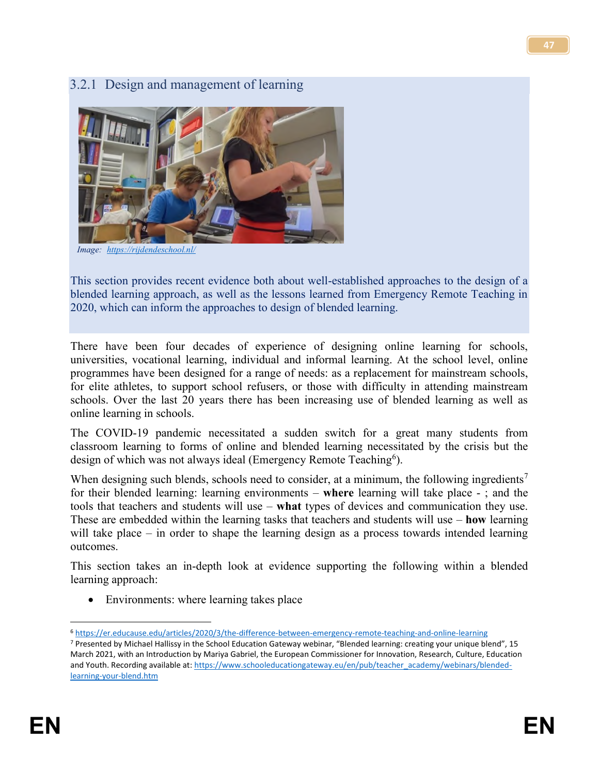#### 3.2.1 Design and management of learning



 *Image: <https://rijdendeschool.nl/>*

This section provides recent evidence both about well-established approaches to the design of a blended learning approach, as well as the lessons learned from Emergency Remote Teaching in 2020, which can inform the approaches to design of blended learning.

There have been four decades of experience of designing online learning for schools, universities, vocational learning, individual and informal learning. At the school level, online programmes have been designed for a range of needs: as a replacement for mainstream schools, for elite athletes, to support school refusers, or those with difficulty in attending mainstream schools. Over the last 20 years there has been increasing use of blended learning as well as online learning in schools.

The COVID-19 pandemic necessitated a sudden switch for a great many students from classroom learning to forms of online and blended learning necessitated by the crisis but the design of which was not always ideal (Emergency Remote Teaching<sup>6</sup>).

When designing such blends, schools need to consider, at a minimum, the following ingredients<sup>7</sup> for their blended learning: learning environments – **where** learning will take place - ; and the tools that teachers and students will use – **what** types of devices and communication they use. These are embedded within the learning tasks that teachers and students will use – **how** learning will take place – in order to shape the learning design as a process towards intended learning outcomes.

This section takes an in-depth look at evidence supporting the following within a blended learning approach:

• Environments: where learning takes place

l <sup>6</sup> <https://er.educause.edu/articles/2020/3/the-difference-between-emergency-remote-teaching-and-online-learning>

<sup>7</sup> Presented by Michael Hallissy in the School Education Gateway webinar, "Blended learning: creating your unique blend", 15 March 2021, with an Introduction by Mariya Gabriel, the European Commissioner for Innovation, Research, Culture, Education and Youth. Recording available at: [https://www.schooleducationgateway.eu/en/pub/teacher\\_academy/webinars/blended](https://www.schooleducationgateway.eu/en/pub/teacher_academy/webinars/blended-learning-your-blend.htm)[learning-your-blend.htm](https://www.schooleducationgateway.eu/en/pub/teacher_academy/webinars/blended-learning-your-blend.htm)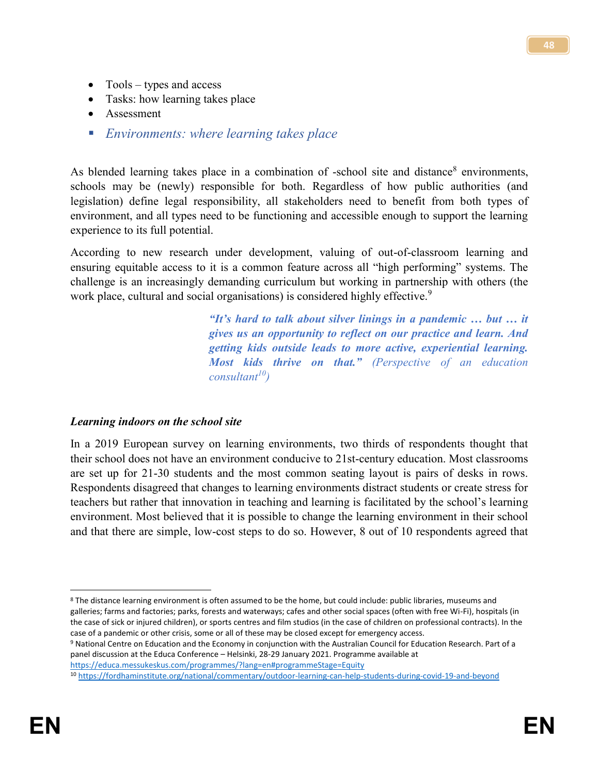- Tools types and access
- Tasks: how learning takes place
- Assessment
- *Environments: where learning takes place*

As blended learning takes place in a combination of -school site and distance<sup>8</sup> environments, schools may be (newly) responsible for both. Regardless of how public authorities (and legislation) define legal responsibility, all stakeholders need to benefit from both types of environment, and all types need to be functioning and accessible enough to support the learning experience to its full potential.

According to new research under development, valuing of out-of-classroom learning and ensuring equitable access to it is a common feature across all "high performing" systems. The challenge is an increasingly demanding curriculum but working in partnership with others (the work place, cultural and social organisations) is considered highly effective.<sup>9</sup>

> *"It's hard to talk about silver linings in a pandemic … but … it gives us an opportunity to reflect on our practice and learn. And getting kids outside leads to more active, experiential learning. Most kids thrive on that." (Perspective of an education consultant<sup>10</sup>)*

#### *Learning indoors on the school site*

In a 2019 European survey on learning environments, two thirds of respondents thought that their school does not have an environment conducive to 21st-century education. Most classrooms are set up for 21-30 students and the most common seating layout is pairs of desks in rows. Respondents disagreed that changes to learning environments distract students or create stress for teachers but rather that innovation in teaching and learning is facilitated by the school's learning environment. Most believed that it is possible to change the learning environment in their school and that there are simple, low-cost steps to do so. However, 8 out of 10 respondents agreed that

<sup>9</sup> National Centre on Education and the Economy in conjunction with the Australian Council for Education Research. Part of a panel discussion at the Educa Conference – Helsinki, 28-29 January 2021. Programme available at <https://educa.messukeskus.com/programmes/?lang=en#programmeStage=Equity>

 $\overline{\phantom{a}}$ <sup>8</sup> The distance learning environment is often assumed to be the home, but could include: public libraries, museums and galleries; farms and factories; parks, forests and waterways; cafes and other social spaces (often with free Wi-Fi), hospitals (in the case of sick or injured children), or sports centres and film studios (in the case of children on professional contracts). In the case of a pandemic or other crisis, some or all of these may be closed except for emergency access.

<sup>10</sup> <https://fordhaminstitute.org/national/commentary/outdoor-learning-can-help-students-during-covid-19-and-beyond>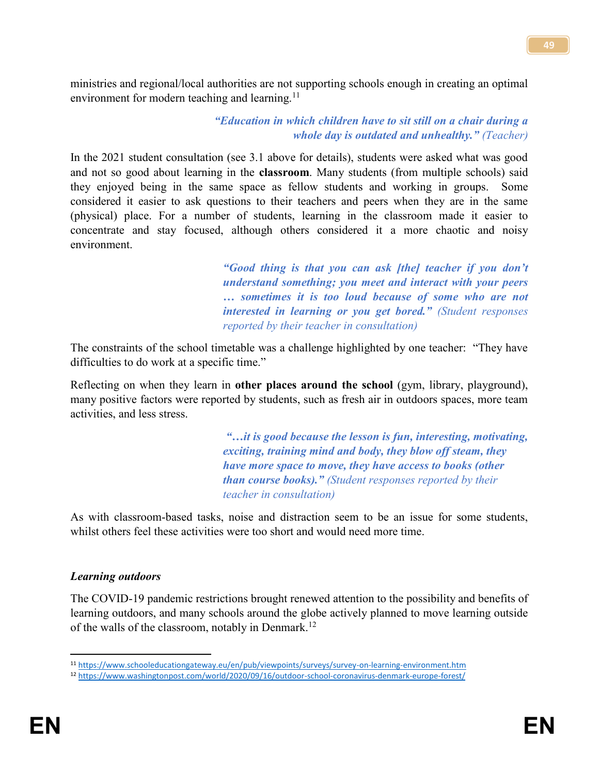ministries and regional/local authorities are not supporting schools enough in creating an optimal environment for modern teaching and learning.<sup>11</sup>

#### *"Education in which children have to sit still on a chair during a whole day is outdated and unhealthy." (Teacher)*

In the 2021 student consultation (see 3.1 above for details), students were asked what was good and not so good about learning in the **classroom**. Many students (from multiple schools) said they enjoyed being in the same space as fellow students and working in groups. Some considered it easier to ask questions to their teachers and peers when they are in the same (physical) place. For a number of students, learning in the classroom made it easier to concentrate and stay focused, although others considered it a more chaotic and noisy environment.

> *"Good thing is that you can ask [the] teacher if you don't understand something; you meet and interact with your peers … sometimes it is too loud because of some who are not interested in learning or you get bored." (Student responses reported by their teacher in consultation)*

The constraints of the school timetable was a challenge highlighted by one teacher: "They have difficulties to do work at a specific time."

Reflecting on when they learn in **other places around the school** (gym, library, playground), many positive factors were reported by students, such as fresh air in outdoors spaces, more team activities, and less stress.

> *"…it is good because the lesson is fun, interesting, motivating, exciting, training mind and body, they blow off steam, they have more space to move, they have access to books (other than course books)." (Student responses reported by their teacher in consultation)*

As with classroom-based tasks, noise and distraction seem to be an issue for some students, whilst others feel these activities were too short and would need more time.

#### *Learning outdoors*

The COVID-19 pandemic restrictions brought renewed attention to the possibility and benefits of learning outdoors, and many schools around the globe actively planned to move learning outside of the walls of the classroom, notably in Denmark.<sup>12</sup>

l <sup>11</sup> <https://www.schooleducationgateway.eu/en/pub/viewpoints/surveys/survey-on-learning-environment.htm>

<sup>12</sup> <https://www.washingtonpost.com/world/2020/09/16/outdoor-school-coronavirus-denmark-europe-forest/>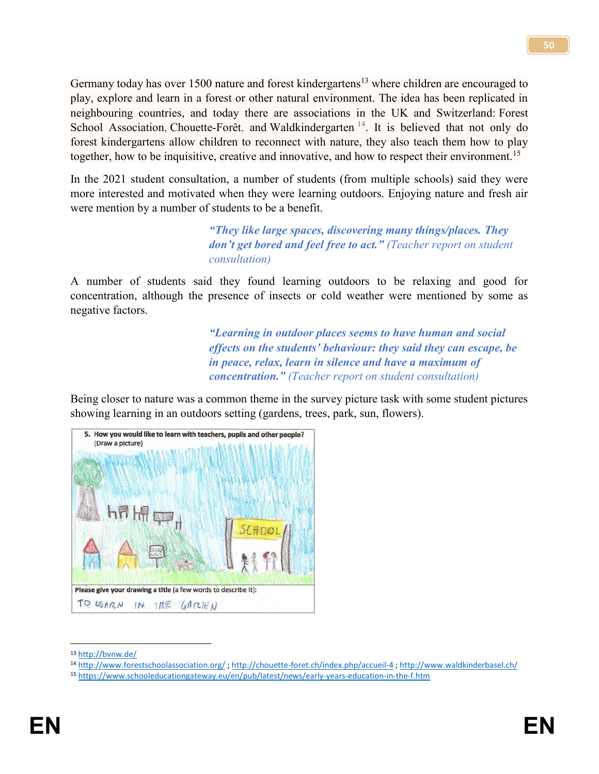Germany today has over 1500 nature and forest kindergartens<sup>13</sup> where children are encouraged to play, explore and learn in a forest or other natural environment. The idea has been replicated in neighbouring countries, and today there are associations in the UK and Switzerland: Forest School Association, Chouette-Forêt, and Waldkindergarten  $14$ . It is believed that not only do forest kindergartens allow children to reconnect with nature, they also teach them how to play together, how to be inquisitive, creative and innovative, and how to respect their environment.<sup>15</sup>

In the 2021 student consultation, a number of students (from multiple schools) said they were more interested and motivated when they were learning outdoors. Enjoying nature and fresh air were mention by a number of students to be a benefit.

> *"They like large spaces, discovering many things/places. They don't get bored and feel free to act." (Teacher report on student consultation)*

A number of students said they found learning outdoors to be relaxing and good for concentration, although the presence of insects or cold weather were mentioned by some as negative factors.

> *"Learning in outdoor places seems to have human and social effects on the students' behaviour: they said they can escape, be in peace, relax, learn in silence and have a maximum of concentration." (Teacher report on student consultation)*

Being closer to nature was a common theme in the survey picture task with some student pictures showing learning in an outdoors setting (gardens, trees, park, sun, flowers).



<sup>13</sup> <http://bvnw.de/>

<sup>14</sup> <http://www.forestschoolassociation.org/> ;<http://chouette-foret.ch/index.php/accueil-4> ;<http://www.waldkinderbasel.ch/>

<sup>15</sup> <https://www.schooleducationgateway.eu/en/pub/latest/news/early-years-education-in-the-f.htm>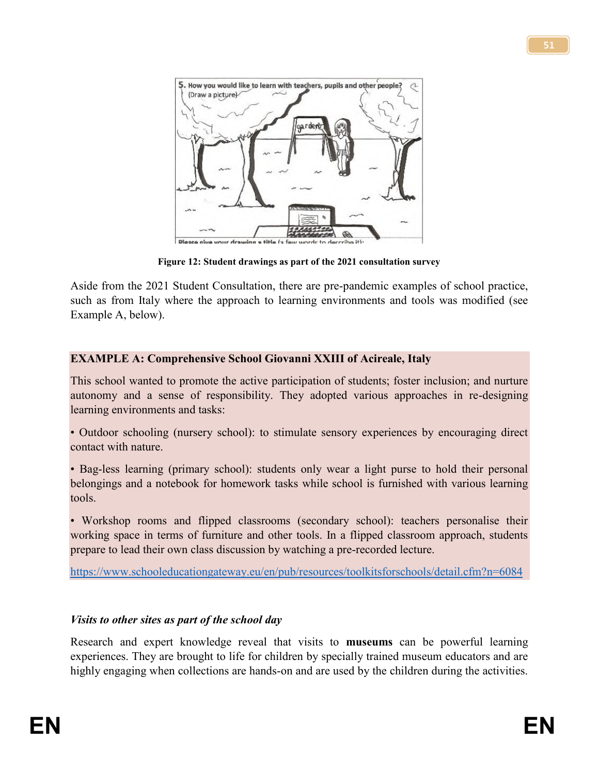

**Figure 12: Student drawings as part of the 2021 consultation survey**

Aside from the 2021 Student Consultation, there are pre-pandemic examples of school practice, such as from Italy where the approach to learning environments and tools was modified (see Example A, below).

#### **EXAMPLE A: Comprehensive School Giovanni XXIII of Acireale, Italy**

This school wanted to promote the active participation of students; foster inclusion; and nurture autonomy and a sense of responsibility. They adopted various approaches in re-designing learning environments and tasks:

• Outdoor schooling (nursery school): to stimulate sensory experiences by encouraging direct contact with nature.

• Bag-less learning (primary school): students only wear a light purse to hold their personal belongings and a notebook for homework tasks while school is furnished with various learning tools.

• Workshop rooms and flipped classrooms (secondary school): teachers personalise their working space in terms of furniture and other tools. In a flipped classroom approach, students prepare to lead their own class discussion by watching a pre-recorded lecture.

<https://www.schooleducationgateway.eu/en/pub/resources/toolkitsforschools/detail.cfm?n=6084>

#### *Visits to other sites as part of the school day*

Research and expert knowledge reveal that visits to **museums** can be powerful learning experiences. They are brought to life for children by specially trained museum educators and are highly engaging when collections are hands-on and are used by the children during the activities.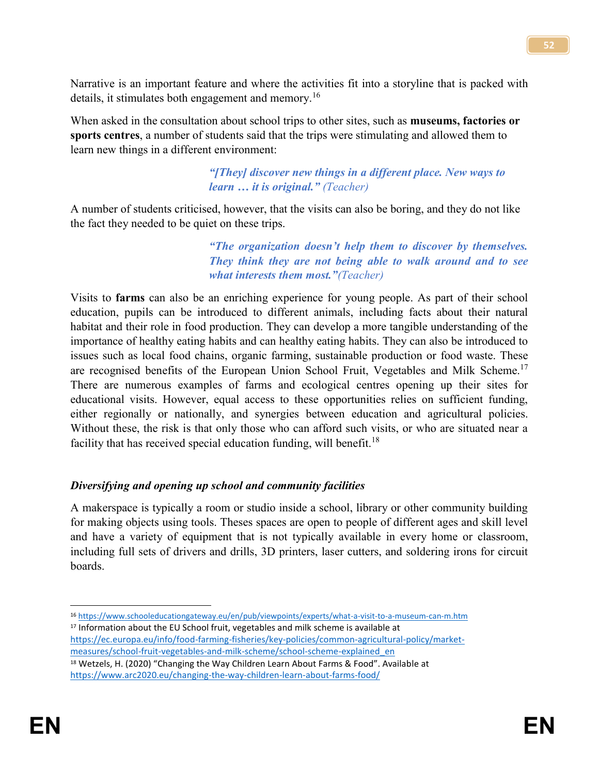Narrative is an important feature and where the activities fit into a storyline that is packed with details, it stimulates both engagement and memory.<sup>16</sup>

When asked in the consultation about school trips to other sites, such as **museums, factories or sports centres**, a number of students said that the trips were stimulating and allowed them to learn new things in a different environment:

#### *"[They] discover new things in a different place. New ways to learn … it is original." (Teacher)*

A number of students criticised, however, that the visits can also be boring, and they do not like the fact they needed to be quiet on these trips.

> *"The organization doesn't help them to discover by themselves. They think they are not being able to walk around and to see what interests them most."(Teacher)*

Visits to **farms** can also be an enriching experience for young people. As part of their school education, pupils can be introduced to different animals, including facts about their natural habitat and their role in food production. They can develop a more tangible understanding of the importance of healthy eating habits and can healthy eating habits. They can also be introduced to issues such as local food chains, organic farming, sustainable production or food waste. These are recognised benefits of the European Union School Fruit, Vegetables and Milk Scheme.<sup>17</sup> There are numerous examples of farms and ecological centres opening up their sites for educational visits. However, equal access to these opportunities relies on sufficient funding, either regionally or nationally, and synergies between education and agricultural policies. Without these, the risk is that only those who can afford such visits, or who are situated near a facility that has received special education funding, will benefit.<sup>18</sup>

#### *Diversifying and opening up school and community facilities*

A makerspace is typically a room or studio inside a school, library or other community building for making objects using tools. Theses spaces are open to people of different ages and skill level and have a variety of equipment that is not typically available in every home or classroom, including full sets of drivers and drills, 3D printers, laser cutters, and soldering irons for circuit boards.

 $\overline{\phantom{a}}$ <sup>16</sup> <https://www.schooleducationgateway.eu/en/pub/viewpoints/experts/what-a-visit-to-a-museum-can-m.htm> 17 Information about the EU School fruit, vegetables and milk scheme is available at [https://ec.europa.eu/info/food-farming-fisheries/key-policies/common-agricultural-policy/market](https://ec.europa.eu/info/food-farming-fisheries/key-policies/common-agricultural-policy/market-measures/school-fruit-vegetables-and-milk-scheme/school-scheme-explained_en)[measures/school-fruit-vegetables-and-milk-scheme/school-scheme-explained\\_en](https://ec.europa.eu/info/food-farming-fisheries/key-policies/common-agricultural-policy/market-measures/school-fruit-vegetables-and-milk-scheme/school-scheme-explained_en)

<sup>18</sup> Wetzels, H. (2020) "Changing the Way Children Learn About Farms & Food". Available at <https://www.arc2020.eu/changing-the-way-children-learn-about-farms-food/>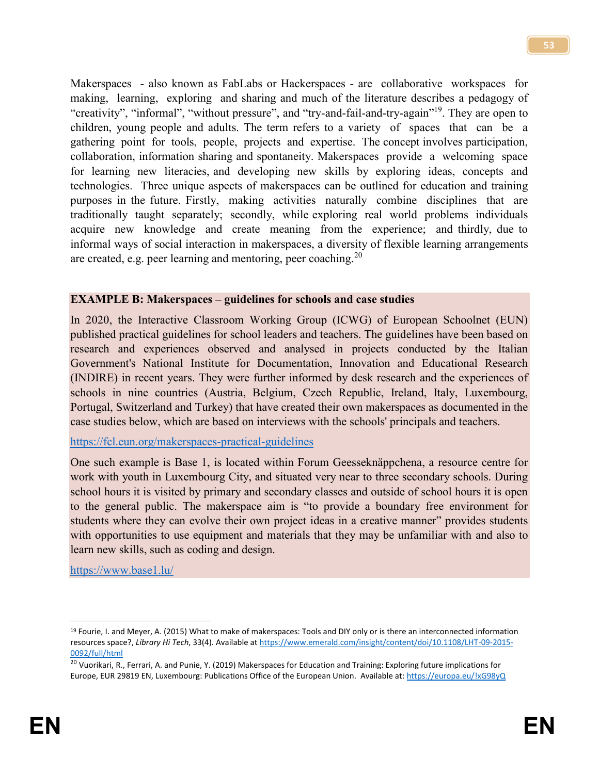Makerspaces - also known as FabLabs or Hackerspaces - are collaborative workspaces for making, learning, exploring and sharing and much of the literature describes a pedagogy of "creativity", "informal", "without pressure", and "try-and-fail-and-try-again"<sup>19</sup>. They are open to children, young people and adults. The term refers to a variety of spaces that can be a gathering point for tools, people, projects and expertise. The concept involves participation, collaboration, information sharing and spontaneity. Makerspaces provide a welcoming space for learning new literacies, and developing new skills by exploring ideas, concepts and technologies. Three unique aspects of makerspaces can be outlined for education and training purposes in the future. Firstly, making activities naturally combine disciplines that are traditionally taught separately; secondly, while exploring real world problems individuals acquire new knowledge and create meaning from the experience; and thirdly, due to informal ways of social interaction in makerspaces, a diversity of flexible learning arrangements are created, e.g. peer learning and mentoring, peer coaching.<sup>20</sup>

#### **EXAMPLE B: Makerspaces – guidelines for schools and case studies**

In 2020, the Interactive Classroom Working Group (ICWG) of European Schoolnet (EUN) published practical guidelines for school leaders and teachers. The guidelines have been based on research and experiences observed and analysed in projects conducted by the Italian Government's National Institute for Documentation, Innovation and Educational Research (INDIRE) in recent years. They were further informed by desk research and the experiences of schools in nine countries (Austria, Belgium, Czech Republic, Ireland, Italy, Luxembourg, Portugal, Switzerland and Turkey) that have created their own makerspaces as documented in the case studies below, which are based on interviews with the schools' principals and teachers.

#### <https://fcl.eun.org/makerspaces-practical-guidelines>

One such example is Base 1, is located within Forum Geesseknäppchena, a resource centre for work with youth in Luxembourg City, and situated very near to three secondary schools. During school hours it is visited by primary and secondary classes and outside of school hours it is open to the general public. The makerspace aim is "to provide a boundary free environment for students where they can evolve their own project ideas in a creative manner" provides students with opportunities to use equipment and materials that they may be unfamiliar with and also to learn new skills, such as coding and design.

<https://www.base1.lu/>

<sup>&</sup>lt;sup>19</sup> Fourie, I. and Meyer, A. (2015) What to make of makerspaces: Tools and DIY only or is there an interconnected information resources space?, *Library Hi Tech*, 33(4). Available a[t https://www.emerald.com/insight/content/doi/10.1108/LHT-09-2015-](https://www.emerald.com/insight/content/doi/10.1108/LHT-09-2015-0092/full/html) [0092/full/html](https://www.emerald.com/insight/content/doi/10.1108/LHT-09-2015-0092/full/html)

<sup>&</sup>lt;sup>20</sup> Vuorikari, R., Ferrari, A. and Punie, Y. (2019) Makerspaces for Education and Training: Exploring future implications for Europe, EUR 29819 EN, Luxembourg: Publications Office of the European Union. Available at:<https://europa.eu/!xG98yQ>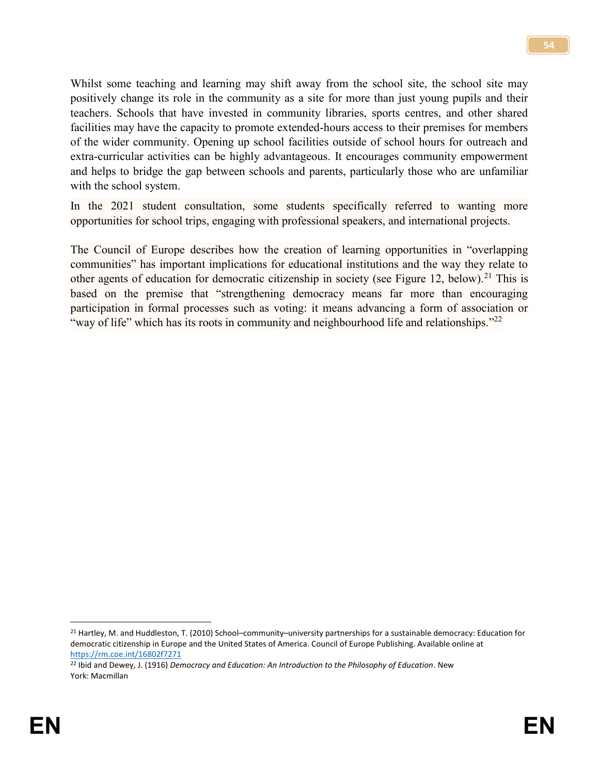Whilst some teaching and learning may shift away from the school site, the school site may positively change its role in the community as a site for more than just young pupils and their teachers. Schools that have invested in community libraries, sports centres, and other shared facilities may have the capacity to promote extended-hours access to their premises for members of the wider community. Opening up school facilities outside of school hours for outreach and extra-curricular activities can be highly advantageous. It encourages community empowerment and helps to bridge the gap between schools and parents, particularly those who are unfamiliar with the school system.

In the 2021 student consultation, some students specifically referred to wanting more opportunities for school trips, engaging with professional speakers, and international projects.

The Council of Europe describes how the creation of learning opportunities in "overlapping communities" has important implications for educational institutions and the way they relate to other agents of education for democratic citizenship in society (see Figure 12, below).<sup>21</sup> This is based on the premise that "strengthening democracy means far more than encouraging participation in formal processes such as voting: it means advancing a form of association or "way of life" which has its roots in community and neighbourhood life and relationships."<sup>22</sup>

l

<sup>21</sup> Hartley, M. and Huddleston, T. (2010) School–community–university partnerships for a sustainable democracy: Education for democratic citizenship in Europe and the United States of America. Council of Europe Publishing. Available online at <https://rm.coe.int/16802f7271>

<sup>22</sup> Ibid and Dewey, J. (1916) *Democracy and Education: An Introduction to the Philosophy of Education*. New York: Macmillan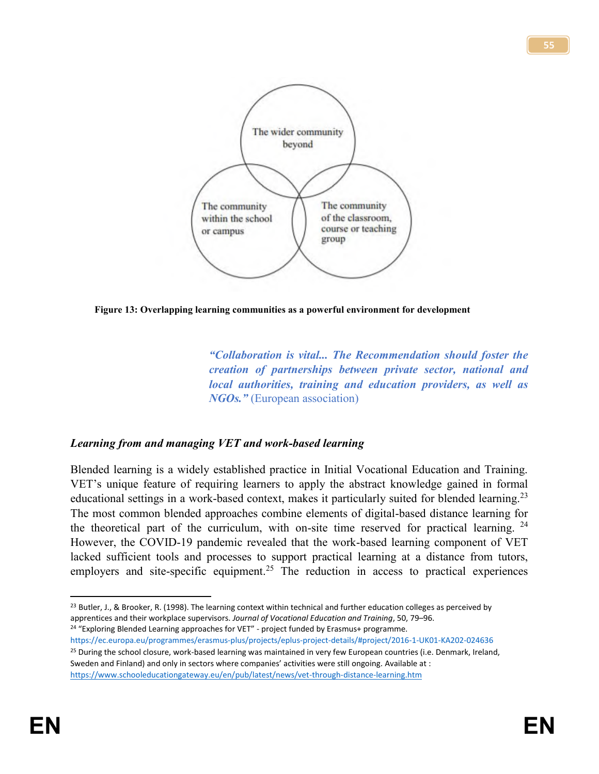



*"Collaboration is vital... The Recommendation should foster the creation of partnerships between private sector, national and local authorities, training and education providers, as well as NGOs."* (European association)

#### *Learning from and managing VET and work-based learning*

Blended learning is a widely established practice in Initial Vocational Education and Training. VET's unique feature of requiring learners to apply the abstract knowledge gained in formal educational settings in a work-based context, makes it particularly suited for blended learning.<sup>23</sup> The most common blended approaches combine elements of digital-based distance learning for the theoretical part of the curriculum, with on-site time reserved for practical learning. <sup>24</sup> However, the COVID-19 pandemic revealed that the work-based learning component of VET lacked sufficient tools and processes to support practical learning at a distance from tutors, employers and site-specific equipment.<sup>25</sup> The reduction in access to practical experiences

<sup>24</sup> "Exploring Blended Learning approaches for VET" - project funded by Erasmus+ programme. https://ec.europa.eu/programmes/erasmus-plus/projects/eplus-project-details/#project/2016-1-UK01-KA202-024636 <sup>25</sup> During the school closure, work-based learning was maintained in very few European countries (i.e. Denmark, Ireland, Sweden and Finland) and only in sectors where companies' activities were still ongoing. Available at : <https://www.schooleducationgateway.eu/en/pub/latest/news/vet-through-distance-learning.htm>

 $\overline{a}$ <sup>23</sup> Butler, J., & Brooker, R. (1998). The learning context within technical and further education colleges as perceived by apprentices and their workplace supervisors. *Journal of Vocational Education and Training*, 50, 79–96.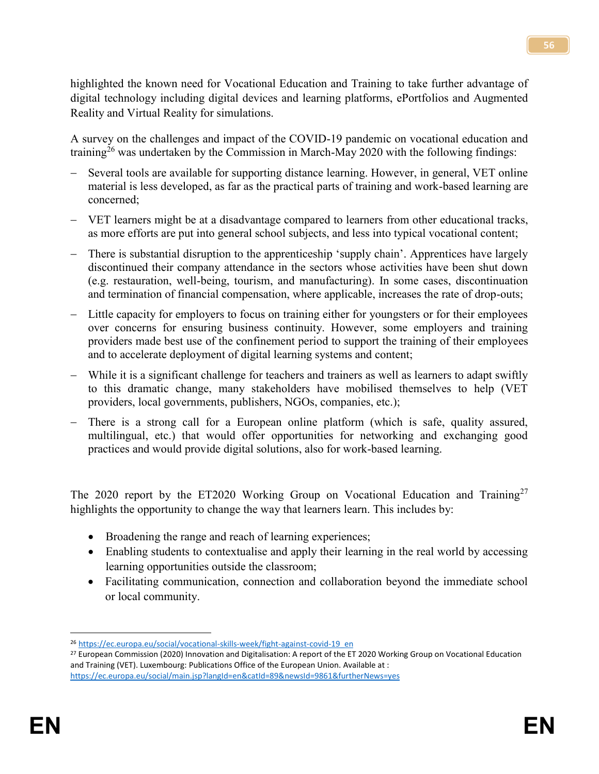highlighted the known need for Vocational Education and Training to take further advantage of digital technology including digital devices and learning platforms, ePortfolios and Augmented Reality and Virtual Reality for simulations.

A survey on the challenges and impact of the COVID-19 pandemic on vocational education and training<sup>26</sup> was undertaken by the Commission in March-May 2020 with the following findings:

- ‒ Several tools are available for supporting distance learning. However, in general, VET online material is less developed, as far as the practical parts of training and work-based learning are concerned;
- ‒ VET learners might be at a disadvantage compared to learners from other educational tracks, as more efforts are put into general school subjects, and less into typical vocational content;
- ‒ There is substantial disruption to the apprenticeship 'supply chain'. Apprentices have largely discontinued their company attendance in the sectors whose activities have been shut down (e.g. restauration, well-being, tourism, and manufacturing). In some cases, discontinuation and termination of financial compensation, where applicable, increases the rate of drop-outs;
- ‒ Little capacity for employers to focus on training either for youngsters or for their employees over concerns for ensuring business continuity. However, some employers and training providers made best use of the confinement period to support the training of their employees and to accelerate deployment of digital learning systems and content;
- ‒ While it is a significant challenge for teachers and trainers as well as learners to adapt swiftly to this dramatic change, many stakeholders have mobilised themselves to help (VET providers, local governments, publishers, NGOs, companies, etc.);
- There is a strong call for a European online platform (which is safe, quality assured, multilingual, etc.) that would offer opportunities for networking and exchanging good practices and would provide digital solutions, also for work-based learning.

The 2020 report by the ET2020 Working Group on Vocational Education and Training<sup>27</sup> highlights the opportunity to change the way that learners learn. This includes by:

- Broadening the range and reach of learning experiences;
- Enabling students to contextualise and apply their learning in the real world by accessing learning opportunities outside the classroom;
- Facilitating communication, connection and collaboration beyond the immediate school or local community.

 $\overline{\phantom{a}}$ <sup>26</sup> [https://ec.europa.eu/social/vocational-skills-week/fight-against-covid-19\\_en](https://ec.europa.eu/social/vocational-skills-week/fight-against-covid-19_en)

<sup>&</sup>lt;sup>27</sup> European Commission (2020) Innovation and Digitalisation: A report of the ET 2020 Working Group on Vocational Education and Training (VET). Luxembourg: Publications Office of the European Union. Available at : <https://ec.europa.eu/social/main.jsp?langId=en&catId=89&newsId=9861&furtherNews=yes>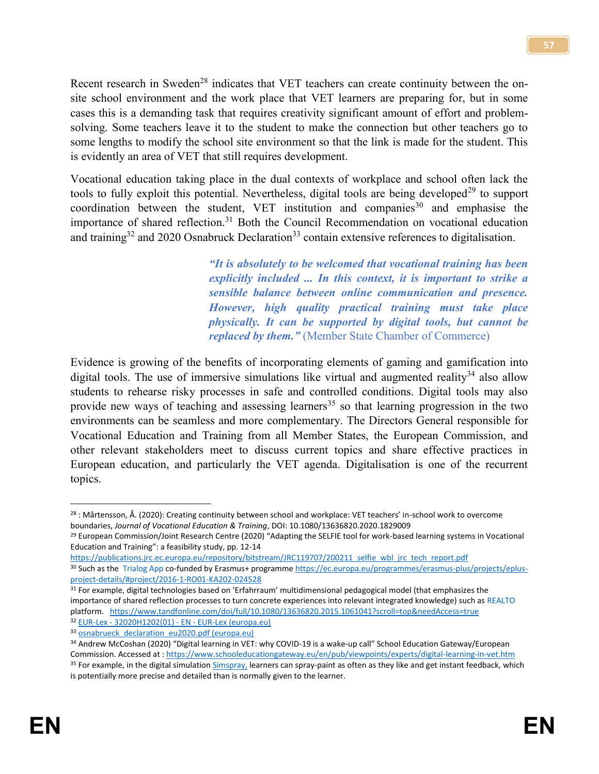Recent research in Sweden<sup>28</sup> indicates that VET teachers can create continuity between the onsite school environment and the work place that VET learners are preparing for, but in some cases this is a demanding task that requires creativity significant amount of effort and problemsolving. Some teachers leave it to the student to make the connection but other teachers go to some lengths to modify the school site environment so that the link is made for the student. This is evidently an area of VET that still requires development.

Vocational education taking place in the dual contexts of workplace and school often lack the tools to fully exploit this potential. Nevertheless, digital tools are being developed<sup>29</sup> to support coordination between the student, VET institution and companies<sup>30</sup> and emphasise the importance of shared reflection.<sup>31</sup> Both the Council Recommendation on vocational education and training<sup>32</sup> and 2020 Osnabruck Declaration<sup>33</sup> contain extensive references to digitalisation.

> *"It is absolutely to be welcomed that vocational training has been explicitly included ... In this context, it is important to strike a sensible balance between online communication and presence. However, high quality practical training must take place physically. It can be supported by digital tools, but cannot be replaced by them."* (Member State Chamber of Commerce)

Evidence is growing of the benefits of incorporating elements of gaming and gamification into digital tools. The use of immersive simulations like virtual and augmented reality<sup>34</sup> also allow students to rehearse risky processes in safe and controlled conditions. Digital tools may also provide new ways of teaching and assessing learners<sup>35</sup> so that learning progression in the two environments can be seamless and more complementary. The Directors General responsible for Vocational Education and Training from all Member States, the European Commission, and other relevant stakeholders meet to discuss current topics and share effective practices in European education, and particularly the VET agenda. Digitalisation is one of the recurrent topics.

[https://publications.jrc.ec.europa.eu/repository/bitstream/JRC119707/200211\\_selfie\\_wbl\\_jrc\\_tech\\_report.pdf](https://publications.jrc.ec.europa.eu/repository/bitstream/JRC119707/200211_selfie_wbl_jrc_tech_report.pdf)

33 osnabrueck declaration eu2020.pdf (europa.eu)

 $\overline{\phantom{a}}$ <sup>28</sup> : Mårtensson, Å. (2020): Creating continuity between school and workplace: VET teachers' in-school work to overcome boundaries, *Journal of Vocational Education & Training*, DOI: 10.1080/13636820.2020.1829009

<sup>&</sup>lt;sup>29</sup> European Commission/Joint Research Centre (2020) "Adapting the SELFIE tool for work-based learning systems in Vocational Education and Training": a feasibility study, pp. 12-14

<sup>30</sup> Such as the Trialog App co-funded by Erasmus+ programm[e https://ec.europa.eu/programmes/erasmus-plus/projects/eplus](https://ec.europa.eu/programmes/erasmus-plus/projects/eplus-project-details/#project/2016-1-RO01-KA202-024528)[project-details/#project/2016-1-RO01-KA202-024528](https://ec.europa.eu/programmes/erasmus-plus/projects/eplus-project-details/#project/2016-1-RO01-KA202-024528)

<sup>&</sup>lt;sup>31</sup> For example, digital technologies based on 'Erfahrraum' multidimensional pedagogical model (that emphasizes the importance of shared reflection processes to turn concrete experiences into relevant integrated knowledge) such as REALTO platform. <https://www.tandfonline.com/doi/full/10.1080/13636820.2015.1061041?scroll=top&needAccess=true> <sup>32</sup> EUR-Lex - 32020H1202(01) - EN - [EUR-Lex \(europa.eu\)](https://eur-lex.europa.eu/legal-content/EN/TXT/?uri=CELEX%3A32020H1202%2801%29)

<sup>34</sup> Andrew McCoshan (2020) "Digital learning in VET: why COVID-19 is a wake-up call" School Education Gateway/European Commission. Accessed at [: https://www.schooleducationgateway.eu/en/pub/viewpoints/experts/digital-learning-in-vet.htm](https://www.schooleducationgateway.eu/en/pub/viewpoints/experts/digital-learning-in-vet.htm) <sup>35</sup> For example, in the digital simulatio[n Simspray,](https://www.simspray.net/) learners can spray-paint as often as they like and get instant feedback, which is potentially more precise and detailed than is normally given to the learner.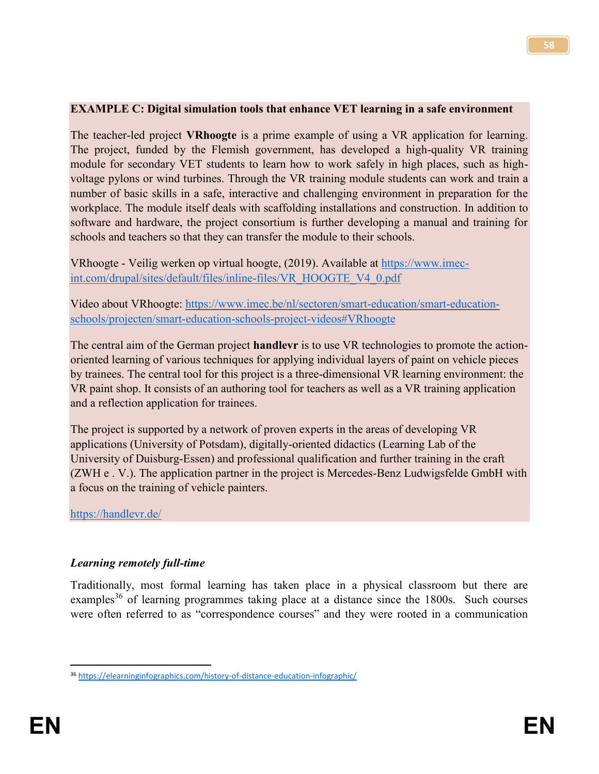#### **EXAMPLE C: Digital simulation tools that enhance VET learning in a safe environment**

The teacher-led project **VRhoogte** is a prime example of using a VR application for learning. The project, funded by the Flemish government, has developed a high-quality VR training module for secondary VET students to learn how to work safely in high places, such as highvoltage pylons or wind turbines. Through the VR training module students can work and train a number of basic skills in a safe, interactive and challenging environment in preparation for the workplace. The module itself deals with scaffolding installations and construction. In addition to software and hardware, the project consortium is further developing a manual and training for schools and teachers so that they can transfer the module to their schools.

VRhoogte - Veilig werken op virtual hoogte, (2019). Available at [https://www.imec](https://www.imec-int.com/drupal/sites/default/files/inline-files/VR_HOOGTE_V4_0.pdf)[int.com/drupal/sites/default/files/inline-files/VR\\_HOOGTE\\_V4\\_0.pdf](https://www.imec-int.com/drupal/sites/default/files/inline-files/VR_HOOGTE_V4_0.pdf)

Video about VRhoogte: [https://www.imec.be/nl/sectoren/smart-education/smart-education](https://www.imec.be/nl/sectoren/smart-education/smart-education-schools/projecten/smart-education-schools-project-videos#VRhoogte)[schools/projecten/smart-education-schools-project-videos#VRhoogte](https://www.imec.be/nl/sectoren/smart-education/smart-education-schools/projecten/smart-education-schools-project-videos#VRhoogte)

The central aim of the German project **handlevr** is to use VR technologies to promote the actionoriented learning of various techniques for applying individual layers of paint on vehicle pieces by trainees. The central tool for this project is a three-dimensional VR learning environment: the VR paint shop. It consists of an authoring tool for teachers as well as a VR training application and a reflection application for trainees.

The project is supported by a network of proven experts in the areas of developing VR applications (University of Potsdam), digitally-oriented didactics (Learning Lab of the University of Duisburg-Essen) and professional qualification and further training in the craft (ZWH e . V.). The application partner in the project is Mercedes-Benz Ludwigsfelde GmbH with a focus on the training of vehicle painters.

<https://handlevr.de/>

#### *Learning remotely full-time*

Traditionally, most formal learning has taken place in a physical classroom but there are examples<sup>36</sup> of learning programmes taking place at a distance since the 1800s. Such courses were often referred to as "correspondence courses" and they were rooted in a communication

 $\overline{\phantom{a}}$ <sup>36</sup> <https://elearninginfographics.com/history-of-distance-education-infographic/>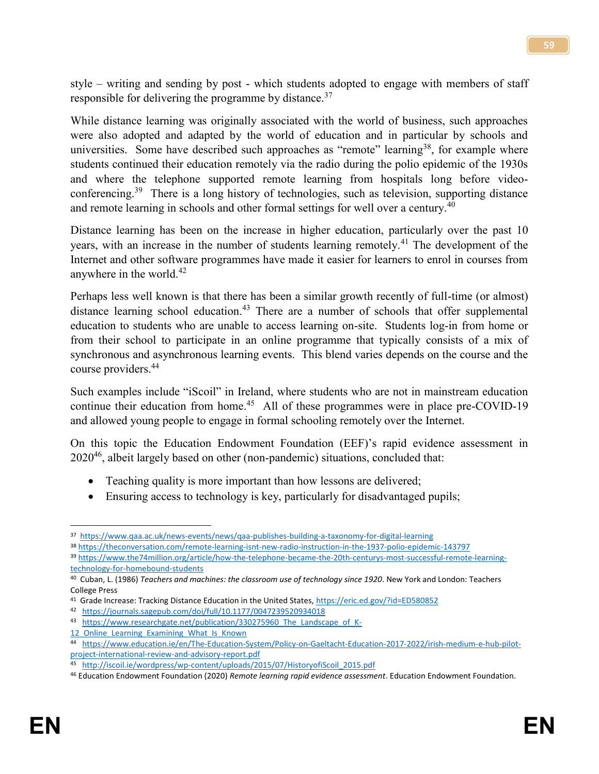style – writing and sending by post - which students adopted to engage with members of staff responsible for delivering the programme by distance.<sup>37</sup>

While distance learning was originally associated with the world of business, such approaches were also adopted and adapted by the world of education and in particular by schools and universities. Some have described such approaches as "remote" learning<sup>38</sup>, for example where students continued their education remotely via the radio during the polio epidemic of the 1930s and where the telephone supported remote learning from hospitals long before videoconferencing.<sup>39</sup> There is a long history of technologies, such as television, supporting distance and remote learning in schools and other formal settings for well over a century.<sup>40</sup>

Distance learning has been on the increase in higher education, particularly over the past 10 years, with an increase in the number of students learning remotely.<sup>41</sup> The development of the Internet and other software programmes have made it easier for learners to enrol in courses from anywhere in the world.<sup>42</sup>

Perhaps less well known is that there has been a similar growth recently of full-time (or almost) distance learning school education.<sup>43</sup> There are a number of schools that offer supplemental education to students who are unable to access learning on-site. Students log-in from home or from their school to participate in an online programme that typically consists of a mix of synchronous and asynchronous learning events. This blend varies depends on the course and the course providers.<sup>44</sup>

Such examples include "iScoil" in Ireland, where students who are not in mainstream education continue their education from home.<sup>45</sup> All of these programmes were in place pre-COVID-19 and allowed young people to engage in formal schooling remotely over the Internet.

On this topic the Education Endowment Foundation (EEF)'s rapid evidence assessment in 2020<sup>46</sup>, albeit largely based on other (non-pandemic) situations, concluded that:

- Teaching quality is more important than how lessons are delivered;
- Ensuring access to technology is key, particularly for disadvantaged pupils;

<sup>38</sup> <https://theconversation.com/remote-learning-isnt-new-radio-instruction-in-the-1937-polio-epidemic-143797>

 $\overline{\phantom{a}}$ 37 <https://www.qaa.ac.uk/news-events/news/qaa-publishes-building-a-taxonomy-for-digital-learning>

<sup>39</sup> [https://www.the74million.org/article/how-the-telephone-became-the-20th-centurys-most-successful-remote-learning](https://www.the74million.org/article/how-the-telephone-became-the-20th-centurys-most-successful-remote-learning-technology-for-homebound-students)[technology-for-homebound-students](https://www.the74million.org/article/how-the-telephone-became-the-20th-centurys-most-successful-remote-learning-technology-for-homebound-students)

<sup>40</sup> Cuban, L. (1986) *Teachers and machines: the classroom use of technology since 1920*. New York and London: Teachers College Press

<sup>&</sup>lt;sup>41</sup> Grade Increase: Tracking Distance Education in the United States[, https://eric.ed.gov/?id=ED580852](https://eric.ed.gov/?id=ED580852)

<sup>42</sup> <https://journals.sagepub.com/doi/full/10.1177/0047239520934018>

<sup>43</sup> https://www.researchgate.net/publication/330275960 The Landscape of K-

<sup>12</sup> Online Learning Examining What Is Known

<sup>44</sup> [https://www.education.ie/en/The-Education-System/Policy-on-Gaeltacht-Education-2017-2022/irish-medium-e-hub-pilot](https://www.education.ie/en/The-Education-System/Policy-on-Gaeltacht-Education-2017-2022/irish-medium-e-hub-pilot-project-international-review-and-advisory-report.pdf)[project-international-review-and-advisory-report.pdf](https://www.education.ie/en/The-Education-System/Policy-on-Gaeltacht-Education-2017-2022/irish-medium-e-hub-pilot-project-international-review-and-advisory-report.pdf)

<sup>45</sup> [http://iscoil.ie/wordpress/wp-content/uploads/2015/07/HistoryofiScoil\\_2015.pdf](http://iscoil.ie/wordpress/wp-content/uploads/2015/07/HistoryofiScoil_2015.pdf)

<sup>46</sup> Education Endowment Foundation (2020) *Remote learning rapid evidence assessment*. Education Endowment Foundation.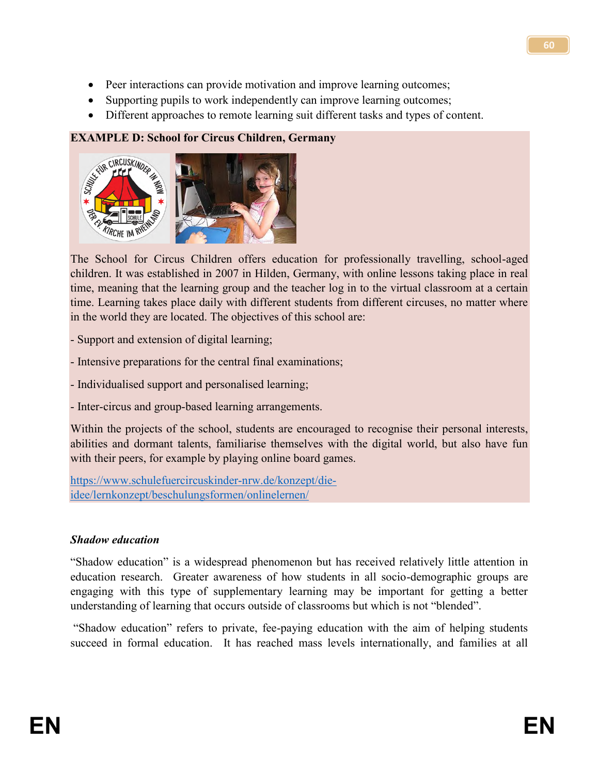- Peer interactions can provide motivation and improve learning outcomes;
- Supporting pupils to work independently can improve learning outcomes;
- Different approaches to remote learning suit different tasks and types of content.

#### **EXAMPLE D: School for Circus Children, Germany**



The School for Circus Children offers education for professionally travelling, school-aged children. It was established in 2007 in Hilden, Germany, with online lessons taking place in real time, meaning that the learning group and the teacher log in to the virtual classroom at a certain time. Learning takes place daily with different students from different circuses, no matter where in the world they are located. The objectives of this school are:

- Support and extension of digital learning;
- Intensive preparations for the central final examinations;
- Individualised support and personalised learning;
- Inter-circus and group-based learning arrangements.

Within the projects of the school, students are encouraged to recognise their personal interests, abilities and dormant talents, familiarise themselves with the digital world, but also have fun with their peers, for example by playing online board games.

[https://www.schulefuercircuskinder-nrw.de/konzept/die](https://www.schulefuercircuskinder-nrw.de/konzept/die-idee/lernkonzept/beschulungsformen/onlinelernen/)[idee/lernkonzept/beschulungsformen/onlinelernen/](https://www.schulefuercircuskinder-nrw.de/konzept/die-idee/lernkonzept/beschulungsformen/onlinelernen/)

#### *Shadow education*

"Shadow education" is a widespread phenomenon but has received relatively little attention in education research. Greater awareness of how students in all socio-demographic groups are engaging with this type of supplementary learning may be important for getting a better understanding of learning that occurs outside of classrooms but which is not "blended".

"Shadow education" refers to private, fee-paying education with the aim of helping students succeed in formal education. It has reached mass levels internationally, and families at all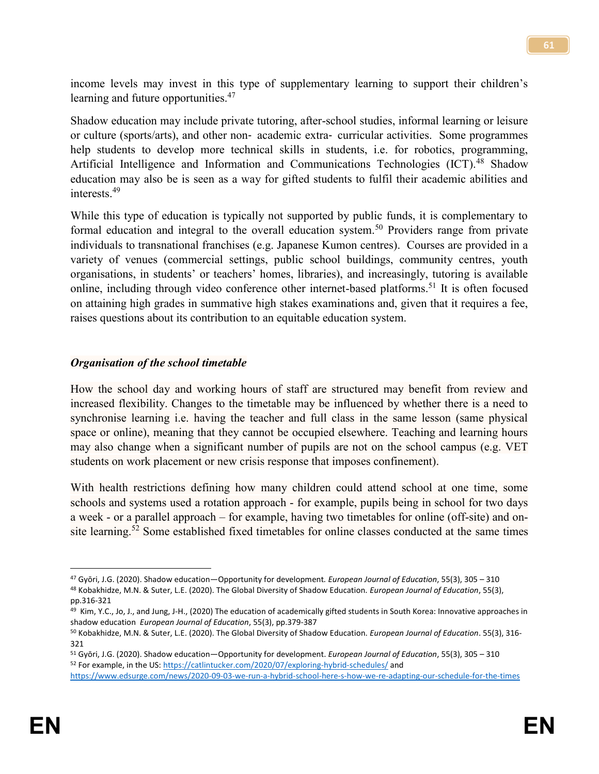income levels may invest in this type of supplementary learning to support their children's learning and future opportunities.<sup>47</sup>

Shadow education may include private tutoring, after-school studies, informal learning or leisure or culture (sports/arts), and other non‐ academic extra‐ curricular activities. Some programmes help students to develop more technical skills in students, i.e. for robotics, programming, Artificial Intelligence and Information and Communications Technologies (ICT).<sup>48</sup> Shadow education may also be is seen as a way for gifted students to fulfil their academic abilities and interests<sup>49</sup>

While this type of education is typically not supported by public funds, it is complementary to formal education and integral to the overall education system.<sup>50</sup> Providers range from private individuals to transnational franchises (e.g. Japanese Kumon centres). Courses are provided in a variety of venues (commercial settings, public school buildings, community centres, youth organisations, in students' or teachers' homes, libraries), and increasingly, tutoring is available online, including through video conference other internet-based platforms.<sup>51</sup> It is often focused on attaining high grades in summative high stakes examinations and, given that it requires a fee, raises questions about its contribution to an equitable education system.

#### *Organisation of the school timetable*

How the school day and working hours of staff are structured may benefit from review and increased flexibility. Changes to the timetable may be influenced by whether there is a need to synchronise learning i.e. having the teacher and full class in the same lesson (same physical space or online), meaning that they cannot be occupied elsewhere. Teaching and learning hours may also change when a significant number of pupils are not on the school campus (e.g. VET students on work placement or new crisis response that imposes confinement).

With health restrictions defining how many children could attend school at one time, some schools and systems used a rotation approach - for example, pupils being in school for two days a week - or a parallel approach – for example, having two timetables for online (off-site) and onsite learning.<sup>52</sup> Some established fixed timetables for online classes conducted at the same times

 $\overline{\phantom{a}}$ 

<sup>47</sup> Gyōri, J.G. (2020). Shadow education—Opportunity for development*. European Journal of Education*, 55(3), 305 – 310 <sup>48</sup> Kobakhidze, M.N. & Suter, L.E. (2020). The Global Diversity of Shadow Education. *European Journal of Education*, 55(3), pp.316-321

<sup>&</sup>lt;sup>49</sup> Kim, Y.C., Jo, J., and Jung, J-H., (2020) The education of academically gifted students in South Korea: Innovative approaches in shadow education *European Journal of Education*, 55(3), pp.379-387

<sup>50</sup> Kobakhidze, M.N. & Suter, L.E. (2020). The Global Diversity of Shadow Education. *European Journal of Education*. 55(3), 316- 321

<sup>51</sup> Gyōri, J.G. (2020). Shadow education—Opportunity for development. *European Journal of Education*, 55(3), 305 – 310 52 For example, in the US:<https://catlintucker.com/2020/07/exploring-hybrid-schedules/> and <https://www.edsurge.com/news/2020-09-03-we-run-a-hybrid-school-here-s-how-we-re-adapting-our-schedule-for-the-times>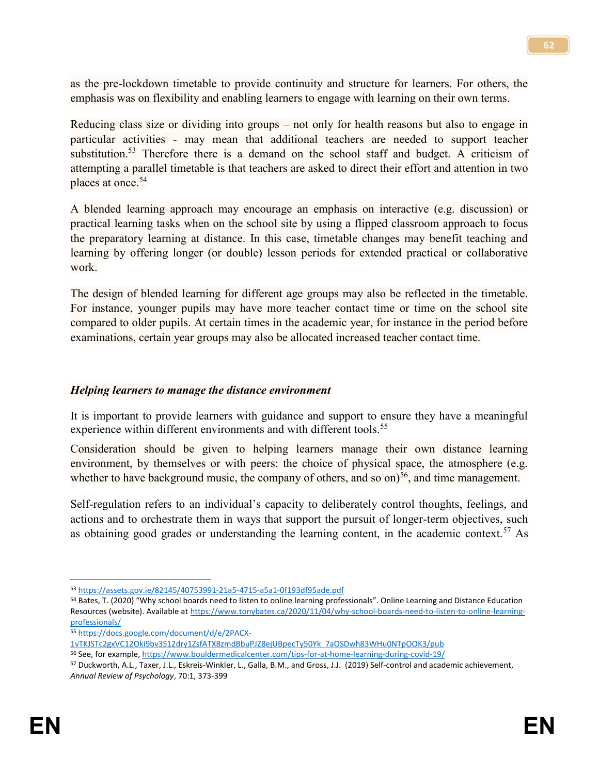as the pre-lockdown timetable to provide continuity and structure for learners. For others, the emphasis was on flexibility and enabling learners to engage with learning on their own terms.

Reducing class size or dividing into groups – not only for health reasons but also to engage in particular activities - may mean that additional teachers are needed to support teacher substitution.<sup>53</sup> Therefore there is a demand on the school staff and budget. A criticism of attempting a parallel timetable is that teachers are asked to direct their effort and attention in two places at once.<sup>54</sup>

A blended learning approach may encourage an emphasis on interactive (e.g. discussion) or practical learning tasks when on the school site by using a flipped classroom approach to focus the preparatory learning at distance. In this case, timetable changes may benefit teaching and learning by offering longer (or double) lesson periods for extended practical or collaborative work.

The design of blended learning for different age groups may also be reflected in the timetable. For instance, younger pupils may have more teacher contact time or time on the school site compared to older pupils. At certain times in the academic year, for instance in the period before examinations, certain year groups may also be allocated increased teacher contact time.

#### *Helping learners to manage the distance environment*

It is important to provide learners with guidance and support to ensure they have a meaningful experience within different environments and with different tools.<sup>55</sup>

Consideration should be given to helping learners manage their own distance learning environment, by themselves or with peers: the choice of physical space, the atmosphere (e.g. whether to have background music, the company of others, and so on) $56$ , and time management.

Self-regulation refers to an individual's capacity to deliberately control thoughts, feelings, and actions and to orchestrate them in ways that support the pursuit of longer-term objectives, such as obtaining good grades or understanding the learning content, in the academic context.<sup>57</sup> As

<sup>53</sup> <https://assets.gov.ie/82145/40753991-21a5-4715-a5a1-0f193df95ade.pdf>

<sup>54</sup> Bates, T. (2020) "Why school boards need to listen to online learning professionals". Online Learning and Distance Education Resources (website). Available a[t https://www.tonybates.ca/2020/11/04/why-school-boards-need-to-listen-to-online-learning](https://www.tonybates.ca/2020/11/04/why-school-boards-need-to-listen-to-online-learning-professionals/)[professionals/](https://www.tonybates.ca/2020/11/04/why-school-boards-need-to-listen-to-online-learning-professionals/)

<sup>55</sup> [https://docs.google.com/document/d/e/2PACX-](https://docs.google.com/document/d/e/2PACX-1vTKJSTc2gxVC12Oki9bv3S12dry1ZsfATX8zmdBbuPJZ8ejUBpecTy50Yk_7aOSDwh83WHu0NTpOOK3/pub)

[<sup>1</sup>vTKJSTc2gxVC12Oki9bv3S12dry1ZsfATX8zmdBbuPJZ8ejUBpecTy50Yk\\_7aOSDwh83WHu0NTpOOK3/pub](https://docs.google.com/document/d/e/2PACX-1vTKJSTc2gxVC12Oki9bv3S12dry1ZsfATX8zmdBbuPJZ8ejUBpecTy50Yk_7aOSDwh83WHu0NTpOOK3/pub)

<sup>56</sup> See, for example[, https://www.bouldermedicalcenter.com/tips-for-at-home-learning-during-covid-19/](https://www.bouldermedicalcenter.com/tips-for-at-home-learning-during-covid-19/)

<sup>57</sup> Duckworth, A.L., Taxer, J.L., Eskreis-Winkler, L., Galla, B.M., and Gross, J.J. (2019) Self-control and academic achievement, *Annual Review of Psychology*, 70:1, 373-399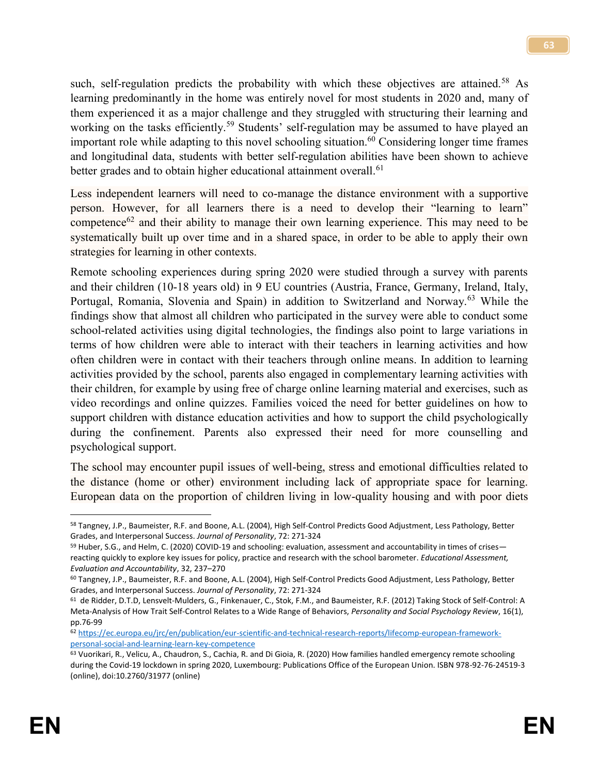such, self-regulation predicts the probability with which these objectives are attained.<sup>58</sup> As learning predominantly in the home was entirely novel for most students in 2020 and, many of them experienced it as a major challenge and they struggled with structuring their learning and working on the tasks efficiently.<sup>59</sup> Students' self-regulation may be assumed to have played an important role while adapting to this novel schooling situation.<sup>60</sup> Considering longer time frames and longitudinal data, students with better self-regulation abilities have been shown to achieve better grades and to obtain higher educational attainment overall.<sup>61</sup>

Less independent learners will need to co-manage the distance environment with a supportive person. However, for all learners there is a need to develop their "learning to learn" competence<sup>62</sup> and their ability to manage their own learning experience. This may need to be systematically built up over time and in a shared space, in order to be able to apply their own strategies for learning in other contexts.

Remote schooling experiences during spring 2020 were studied through a survey with parents and their children (10-18 years old) in 9 EU countries (Austria, France, Germany, Ireland, Italy, Portugal, Romania, Slovenia and Spain) in addition to Switzerland and Norway.<sup>63</sup> While the findings show that almost all children who participated in the survey were able to conduct some school-related activities using digital technologies, the findings also point to large variations in terms of how children were able to interact with their teachers in learning activities and how often children were in contact with their teachers through online means. In addition to learning activities provided by the school, parents also engaged in complementary learning activities with their children, for example by using free of charge online learning material and exercises, such as video recordings and online quizzes. Families voiced the need for better guidelines on how to support children with distance education activities and how to support the child psychologically during the confinement. Parents also expressed their need for more counselling and psychological support.

The school may encounter pupil issues of well-being, stress and emotional difficulties related to the distance (home or other) environment including lack of appropriate space for learning. European data on the proportion of children living in low-quality housing and with poor diets

l

<sup>58</sup> Tangney, J.P., Baumeister, R.F. and Boone, A.L. (2004), High Self-Control Predicts Good Adjustment, Less Pathology, Better Grades, and Interpersonal Success. *Journal of Personality*, 72: 271-324

<sup>59</sup> Huber, S.G., and Helm, C. (2020) COVID-19 and schooling: evaluation, assessment and accountability in times of crises reacting quickly to explore key issues for policy, practice and research with the school barometer. *Educational Assessment, Evaluation and Accountability*, 32, 237–270

<sup>60</sup> Tangney, J.P., Baumeister, R.F. and Boone, A.L. (2004), High Self-Control Predicts Good Adjustment, Less Pathology, Better Grades, and Interpersonal Success. *Journal of Personality*, 72: 271-324

<sup>61</sup> de Ridder, D.T.D, Lensvelt-Mulders, G., Finkenauer, C., Stok, F.M., and Baumeister, R.F. (2012) Taking Stock of Self-Control: A Meta-Analysis of How Trait Self-Control Relates to a Wide Range of Behaviors, *Personality and Social Psychology Review*, 16(1), pp.76-99

<sup>62</sup> [https://ec.europa.eu/jrc/en/publication/eur-scientific-and-technical-research-reports/lifecomp-european-framework](https://ec.europa.eu/jrc/en/publication/eur-scientific-and-technical-research-reports/lifecomp-european-framework-personal-social-and-learning-learn-key-competence)[personal-social-and-learning-learn-key-competence](https://ec.europa.eu/jrc/en/publication/eur-scientific-and-technical-research-reports/lifecomp-european-framework-personal-social-and-learning-learn-key-competence)

<sup>63</sup> Vuorikari, R., Velicu, A., Chaudron, S., Cachia, R. and Di Gioia, R. (2020) How families handled emergency remote schooling during the Covid-19 lockdown in spring 2020, Luxembourg: Publications Office of the European Union. ISBN 978-92-76-24519-3 (online), doi:10.2760/31977 (online)